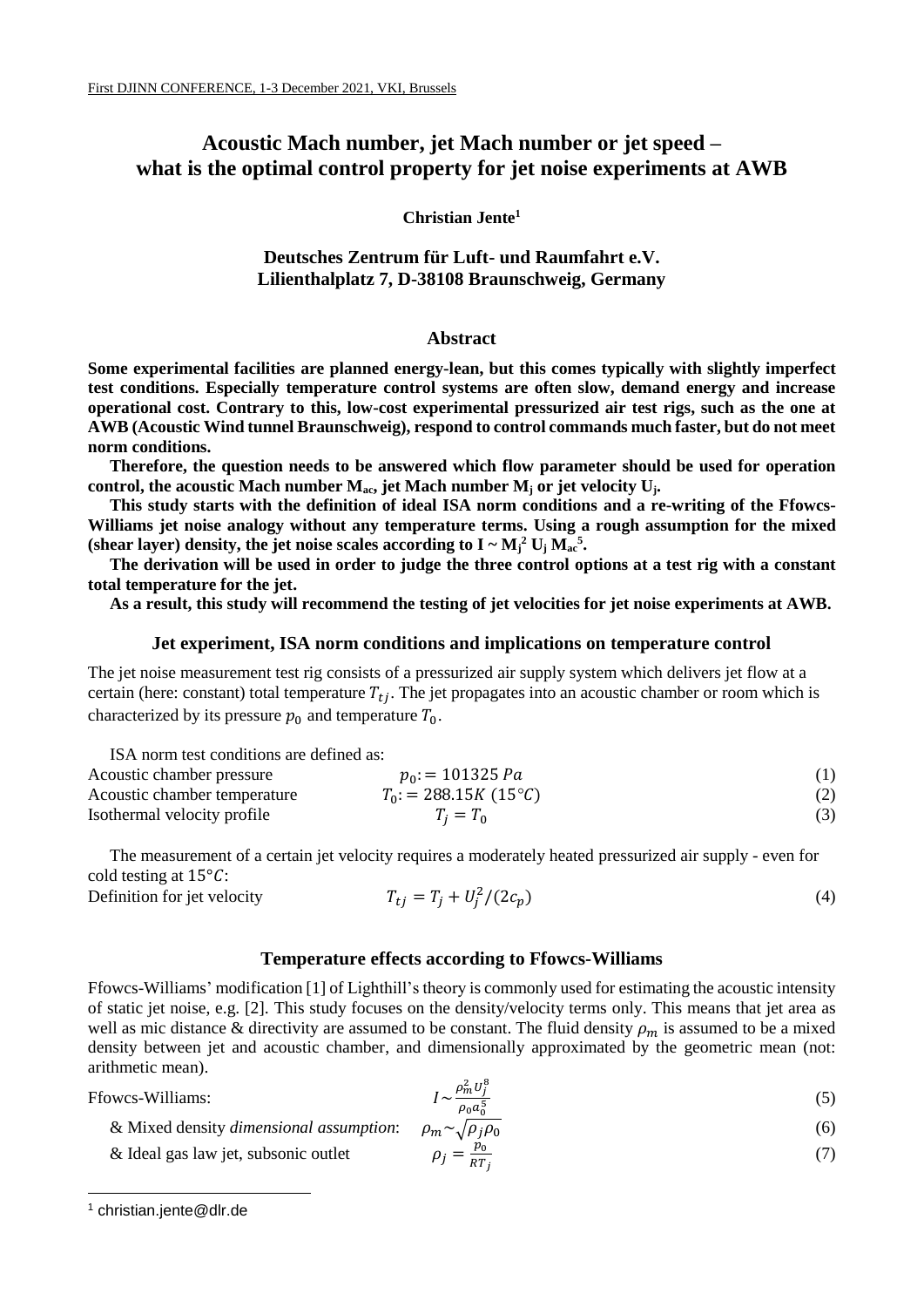# **Acoustic Mach number, jet Mach number or jet speed – what is the optimal control property for jet noise experiments at AWB**

# **Christian Jente<sup>1</sup>**

# **Deutsches Zentrum für Luft- und Raumfahrt e.V. Lilienthalplatz 7, D-38108 Braunschweig, Germany**

#### **Abstract**

**Some experimental facilities are planned energy-lean, but this comes typically with slightly imperfect test conditions. Especially temperature control systems are often slow, demand energy and increase operational cost. Contrary to this, low-cost experimental pressurized air test rigs, such as the one at AWB (Acoustic Wind tunnel Braunschweig), respond to control commands much faster, but do not meet norm conditions.** 

**Therefore, the question needs to be answered which flow parameter should be used for operation control, the acoustic Mach number Mac, jet Mach number M<sup>j</sup> or jet velocity Uj.**

**This study starts with the definition of ideal ISA norm conditions and a re-writing of the Ffowcs-Williams jet noise analogy without any temperature terms. Using a rough assumption for the mixed**  (shear layer) density, the jet noise scales according to  $I \sim M_j^2 U_j M_{ac}^5$ .

**The derivation will be used in order to judge the three control options at a test rig with a constant total temperature for the jet.**

**As a result, this study will recommend the testing of jet velocities for jet noise experiments at AWB.**

# **Jet experiment, ISA norm conditions and implications on temperature control**

The jet noise measurement test rig consists of a pressurized air supply system which delivers jet flow at a certain (here: constant) total temperature  $T_{ti}$ . The jet propagates into an acoustic chamber or room which is characterized by its pressure  $p_0$  and temperature  $T_0$ .

ISA norm test conditions are defined as: Acoustic chamber pressure  $p_0: = 101325 Pa$  (1) Acoustic chamber temperature  $T_0$ : = 288.15 K (15<sup>°</sup>C) (2) Isothermal velocity profile  $T_j = T_0$  (3)

The measurement of a certain jet velocity requires a moderately heated pressurized air supply - even for cold testing at  $15^{\circ}$ C:

$$
T_{tj} = T_j + U_j^2 / (2c_p) \tag{4}
$$

# **Temperature effects according to Ffowcs-Williams**

Ffowcs-Williams' modification [1] of Lighthill's theory is commonly used for estimating the acoustic intensity of static jet noise, e.g. [2]. This study focuses on the density/velocity terms only. This means that jet area as well as mic distance & directivity are assumed to be constant. The fluid density  $\rho_m$  is assumed to be a mixed density between jet and acoustic chamber, and dimensionally approximated by the geometric mean (not: arithmetic mean).

Ffowcs-Williams: ~

-

Definition for jet velocity

$$
I \sim \frac{\rho_m^2 U_j^8}{\rho_0 a_0^5} \tag{5}
$$

& Mixed density dimensional assumption: 
$$
\rho_m \sim \sqrt{\rho_j \rho_0}
$$
 (6)

& Ideal gas law jet, subsonic outlet 
$$
\rho_j = \frac{p_0}{RT_j}
$$
 (7)

<sup>1</sup> christian.jente@dlr.de